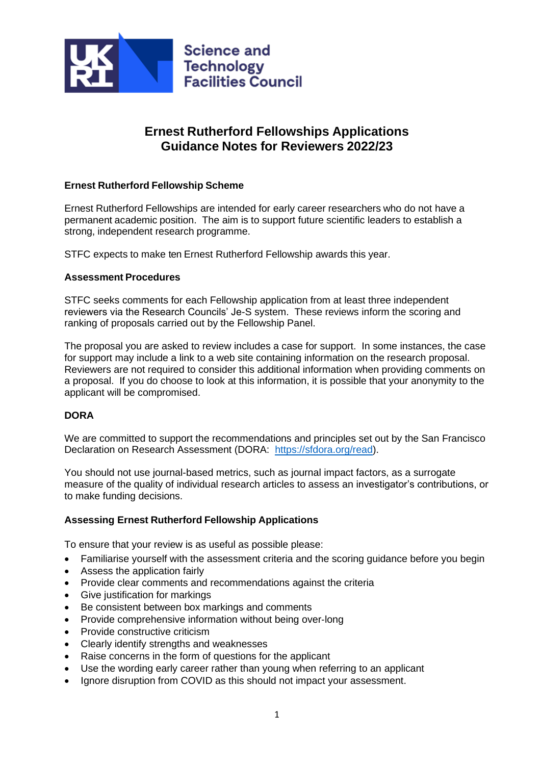

# **Ernest Rutherford Fellowships Applications Guidance Notes for Reviewers 2022/23**

## **Ernest Rutherford Fellowship Scheme**

Ernest Rutherford Fellowships are intended for early career researchers who do not have a permanent academic position. The aim is to support future scientific leaders to establish a strong, independent research programme.

STFC expects to make ten Ernest Rutherford Fellowship awards this year.

#### **Assessment Procedures**

STFC seeks comments for each Fellowship application from at least three independent reviewers via the Research Councils' Je-S system. These reviews inform the scoring and ranking of proposals carried out by the Fellowship Panel.

The proposal you are asked to review includes a case for support. In some instances, the case for support may include a link to a web site containing information on the research proposal. Reviewers are not required to consider this additional information when providing comments on a proposal. If you do choose to look at this information, it is possible that your anonymity to the applicant will be compromised.

# **DORA**

We are committed to support the recommendations and principles set out by the San Francisco Declaration on Research Assessment (DORA: [https://sfdora.org/read\)](https://sfdora.org/read).

You should not use journal-based metrics, such as journal impact factors, as a surrogate measure of the quality of individual research articles to assess an investigator's contributions, or to make funding decisions.

#### **Assessing Ernest Rutherford Fellowship Applications**

To ensure that your review is as useful as possible please:

- Familiarise yourself with the assessment criteria and the scoring guidance before you begin
- Assess the application fairly
- Provide clear comments and recommendations against the criteria
- Give justification for markings
- Be consistent between box markings and comments
- Provide comprehensive information without being over‐long
- Provide constructive criticism
- Clearly identify strengths and weaknesses
- Raise concerns in the form of questions for the applicant
- Use the wording early career rather than young when referring to an applicant
- Ignore disruption from COVID as this should not impact your assessment.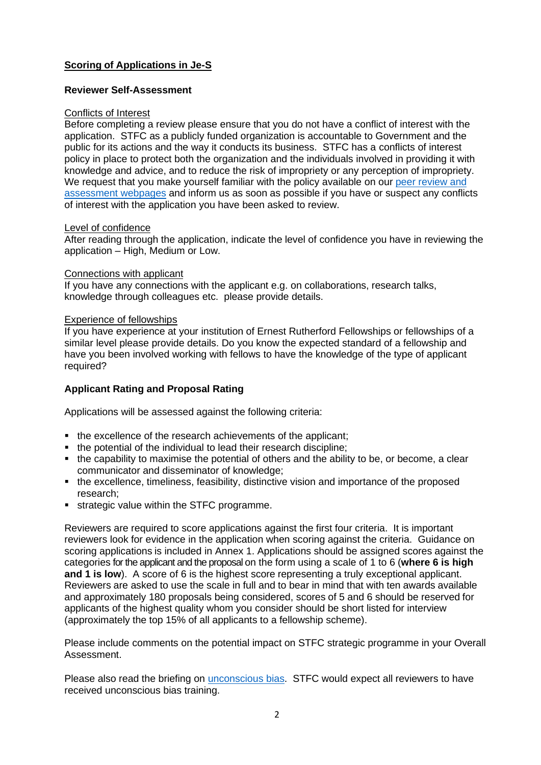# **Scoring of Applications in Je-S**

# **Reviewer Self-Assessment**

#### Conflicts of Interest

Before completing a review please ensure that you do not have a conflict of interest with the application. STFC as a publicly funded organization is accountable to Government and the public for its actions and the way it conducts its business. STFC has a conflicts of interest policy in place to protect both the organization and the individuals involved in providing it with knowledge and advice, and to reduce the risk of impropriety or any perception of impropriety. We request that you make yourself familiar with the policy available on our peer review and [assessment webpages](https://www.ukri.org/councils/stfc/guidance-for-reviewers/peer-reviews/conflicts-of-interest-guidance-reviewers/) and inform us as soon as possible if you have or suspect any conflicts of interest with the application you have been asked to review.

#### Level of confidence

After reading through the application, indicate the level of confidence you have in reviewing the application – High, Medium or Low.

#### Connections with applicant

If you have any connections with the applicant e.g. on collaborations, research talks, knowledge through colleagues etc. please provide details.

#### Experience of fellowships

If you have experience at your institution of Ernest Rutherford Fellowships or fellowships of a similar level please provide details. Do you know the expected standard of a fellowship and have you been involved working with fellows to have the knowledge of the type of applicant required?

# **Applicant Rating and Proposal Rating**

Applications will be assessed against the following criteria:

- the excellence of the research achievements of the applicant:
- the potential of the individual to lead their research discipline;
- the capability to maximise the potential of others and the ability to be, or become, a clear communicator and disseminator of knowledge;
- the excellence, timeliness, feasibility, distinctive vision and importance of the proposed research;
- **EXEC** strategic value within the STFC programme.

Reviewers are required to score applications against the first four criteria. It is important reviewers look for evidence in the application when scoring against the criteria. Guidance on scoring applications is included in Annex 1. Applications should be assigned scores against the categories for the applicant and the proposal on the form using a scale of 1 to 6 (**where 6 is high and 1 is low**). A score of 6 is the highest score representing a truly exceptional applicant. Reviewers are asked to use the scale in full and to bear in mind that with ten awards available and approximately 180 proposals being considered, scores of 5 and 6 should be reserved for applicants of the highest quality whom you consider should be short listed for interview (approximately the top 15% of all applicants to a fellowship scheme).

Please include comments on the potential impact on STFC strategic programme in your Overall Assessment.

Please also read the briefing on [unconscious bias.](https://www.ukri.org/publications/unconscious-bias-briefing/) STFC would expect all reviewers to have received unconscious bias training.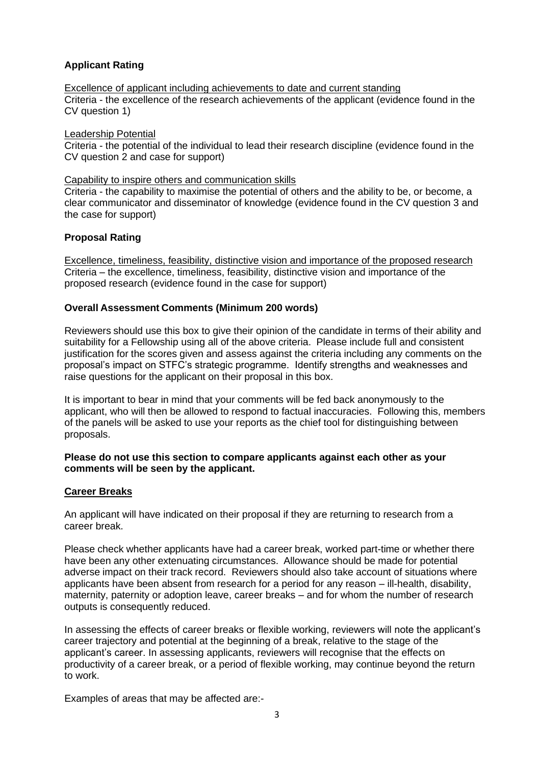# **Applicant Rating**

Excellence of applicant including achievements to date and current standing Criteria - the excellence of the research achievements of the applicant (evidence found in the CV question 1)

Leadership Potential

Criteria - the potential of the individual to lead their research discipline (evidence found in the CV question 2 and case for support)

Capability to inspire others and communication skills

Criteria - the capability to maximise the potential of others and the ability to be, or become, a clear communicator and disseminator of knowledge (evidence found in the CV question 3 and the case for support)

#### **Proposal Rating**

Excellence, timeliness, feasibility, distinctive vision and importance of the proposed research Criteria – the excellence, timeliness, feasibility, distinctive vision and importance of the proposed research (evidence found in the case for support)

#### **Overall Assessment Comments (Minimum 200 words)**

Reviewers should use this box to give their opinion of the candidate in terms of their ability and suitability for a Fellowship using all of the above criteria. Please include full and consistent justification for the scores given and assess against the criteria including any comments on the proposal's impact on STFC's strategic programme. Identify strengths and weaknesses and raise questions for the applicant on their proposal in this box.

It is important to bear in mind that your comments will be fed back anonymously to the applicant, who will then be allowed to respond to factual inaccuracies. Following this, members of the panels will be asked to use your reports as the chief tool for distinguishing between proposals.

#### **Please do not use this section to compare applicants against each other as your comments will be seen by the applicant.**

#### **Career Breaks**

An applicant will have indicated on their proposal if they are returning to research from a career break.

Please check whether applicants have had a career break, worked part-time or whether there have been any other extenuating circumstances. Allowance should be made for potential adverse impact on their track record. Reviewers should also take account of situations where applicants have been absent from research for a period for any reason – ill-health, disability, maternity, paternity or adoption leave, career breaks – and for whom the number of research outputs is consequently reduced.

In assessing the effects of career breaks or flexible working, reviewers will note the applicant's career trajectory and potential at the beginning of a break, relative to the stage of the applicant's career. In assessing applicants, reviewers will recognise that the effects on productivity of a career break, or a period of flexible working, may continue beyond the return to work.

Examples of areas that may be affected are:-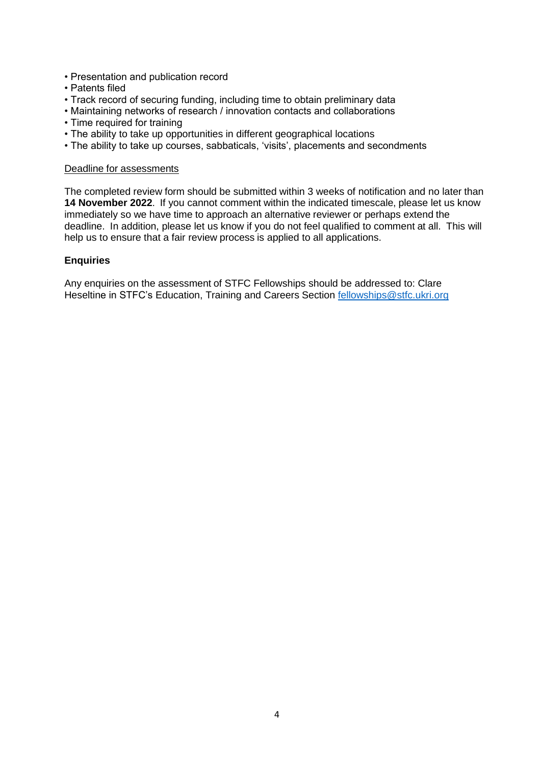- Presentation and publication record
- Patents filed
- Track record of securing funding, including time to obtain preliminary data
- Maintaining networks of research / innovation contacts and collaborations
- Time required for training
- The ability to take up opportunities in different geographical locations
- The ability to take up courses, sabbaticals, 'visits', placements and secondments

#### Deadline for assessments

The completed review form should be submitted within 3 weeks of notification and no later than **14 November 2022**. If you cannot comment within the indicated timescale, please let us know immediately so we have time to approach an alternative reviewer or perhaps extend the deadline. In addition, please let us know if you do not feel qualified to comment at all. This will help us to ensure that a fair review process is applied to all applications.

#### **Enquiries**

Any enquiries on the assessment of STFC Fellowships should be addressed to: Clare Heseltine in STFC's Education, Training and Careers Section [fellowships@stfc.ukri.org](mailto:fellowships@stfc.ukri.org)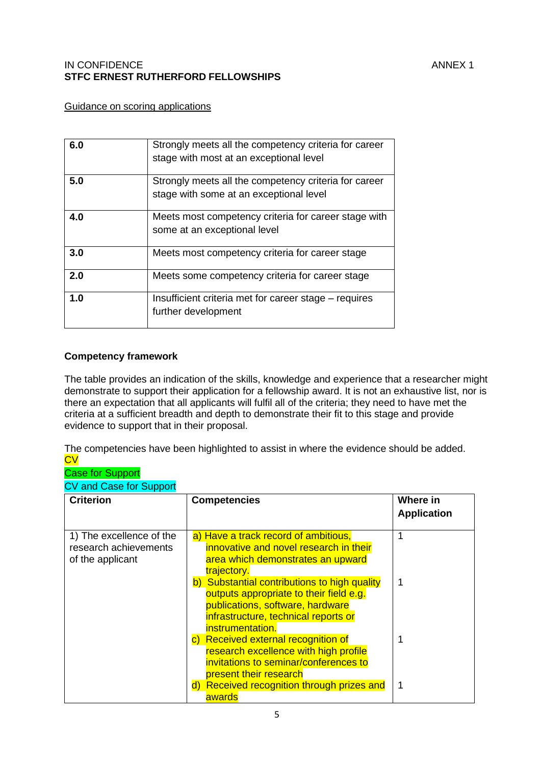## IN CONFIDENCE ANNEX 1 **STFC ERNEST RUTHERFORD FELLOWSHIPS**

# Guidance on scoring applications

| 6.0 | Strongly meets all the competency criteria for career<br>stage with most at an exceptional level |
|-----|--------------------------------------------------------------------------------------------------|
| 5.0 | Strongly meets all the competency criteria for career<br>stage with some at an exceptional level |
| 4.0 | Meets most competency criteria for career stage with<br>some at an exceptional level             |
| 3.0 | Meets most competency criteria for career stage                                                  |
| 2.0 | Meets some competency criteria for career stage                                                  |
| 1.0 | Insufficient criteria met for career stage – requires<br>further development                     |

#### **Competency framework**

The table provides an indication of the skills, knowledge and experience that a researcher might demonstrate to support their application for a fellowship award. It is not an exhaustive list, nor is there an expectation that all applicants will fulfil all of the criteria; they need to have met the criteria at a sufficient breadth and depth to demonstrate their fit to this stage and provide evidence to support that in their proposal.

The competencies have been highlighted to assist in where the evidence should be added. **CV** 

#### Case for Support CV and Case for Support

| <b>Criterion</b>                                                      | <b>Competencies</b>                                                                                                                                                                                                                                                                                                           | Where in<br><b>Application</b> |
|-----------------------------------------------------------------------|-------------------------------------------------------------------------------------------------------------------------------------------------------------------------------------------------------------------------------------------------------------------------------------------------------------------------------|--------------------------------|
| 1) The excellence of the<br>research achievements<br>of the applicant | a) Have a track record of ambitious,<br>innovative and novel research in their<br>area which demonstrates an upward<br>trajectory.<br>b) Substantial contributions to high quality<br>outputs appropriate to their field e.g.<br>publications, software, hardware<br>infrastructure, technical reports or<br>instrumentation. |                                |
|                                                                       | c) Received external recognition of<br>research excellence with high profile<br>invitations to seminar/conferences to<br>present their research<br>d) Received recognition through prizes and<br>awards                                                                                                                       |                                |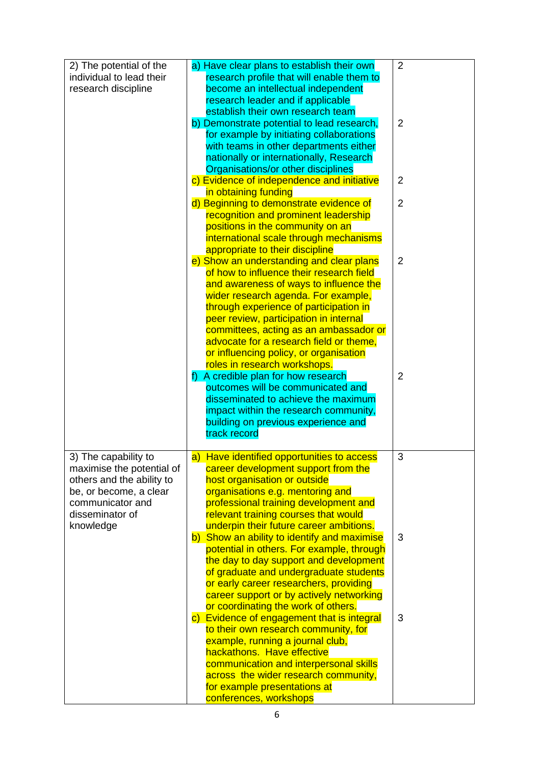| 2) The potential of the<br>individual to lead their<br>research discipline                                                                      | a) Have clear plans to establish their own<br>research profile that will enable them to<br>become an intellectual independent<br>research leader and if applicable                                                                                                                                            | $\overline{2}$ |
|-------------------------------------------------------------------------------------------------------------------------------------------------|---------------------------------------------------------------------------------------------------------------------------------------------------------------------------------------------------------------------------------------------------------------------------------------------------------------|----------------|
|                                                                                                                                                 | establish their own research team<br>b) Demonstrate potential to lead research,<br>for example by initiating collaborations<br>with teams in other departments either<br>nationally or internationally, Research                                                                                              | $\overline{2}$ |
|                                                                                                                                                 | Organisations/or other disciplines<br>c) Evidence of independence and initiative                                                                                                                                                                                                                              | $\overline{2}$ |
|                                                                                                                                                 | in obtaining funding<br>d) Beginning to demonstrate evidence of<br>recognition and prominent leadership                                                                                                                                                                                                       | $\overline{2}$ |
|                                                                                                                                                 | positions in the community on an<br>international scale through mechanisms<br>appropriate to their discipline                                                                                                                                                                                                 |                |
|                                                                                                                                                 | e) Show an understanding and clear plans<br>of how to influence their research field<br>and awareness of ways to influence the                                                                                                                                                                                | $\overline{2}$ |
|                                                                                                                                                 | wider research agenda. For example,<br>through experience of participation in<br>peer review, participation in internal<br>committees, acting as an ambassador or<br>advocate for a research field or theme,<br>or influencing policy, or organisation                                                        |                |
|                                                                                                                                                 | roles in research workshops.<br>f) A credible plan for how research<br>outcomes will be communicated and<br>disseminated to achieve the maximum<br>impact within the research community,<br>building on previous experience and<br>track record                                                               | $\overline{2}$ |
| 3) The capability to<br>maximise the potential of<br>others and the ability to<br>be, or become, a clear<br>communicator and<br>disseminator of | a) Have identified opportunities to access<br>career development support from the<br>host organisation or outside<br>organisations e.g. mentoring and<br>professional training development and<br>relevant training courses that would                                                                        | 3              |
| knowledge                                                                                                                                       | underpin their future career ambitions.<br>b) Show an ability to identify and maximise<br>potential in others. For example, through<br>the day to day support and development<br>of graduate and undergraduate students<br>or early career researchers, providing<br>career support or by actively networking | 3              |
|                                                                                                                                                 | or coordinating the work of others.<br>c) Evidence of engagement that is integral<br>to their own research community, for<br>example, running a journal club,<br>hackathons. Have effective<br>communication and interpersonal skills<br>across the wider research community,<br>for example presentations at | 3              |
|                                                                                                                                                 | conferences, workshops                                                                                                                                                                                                                                                                                        |                |